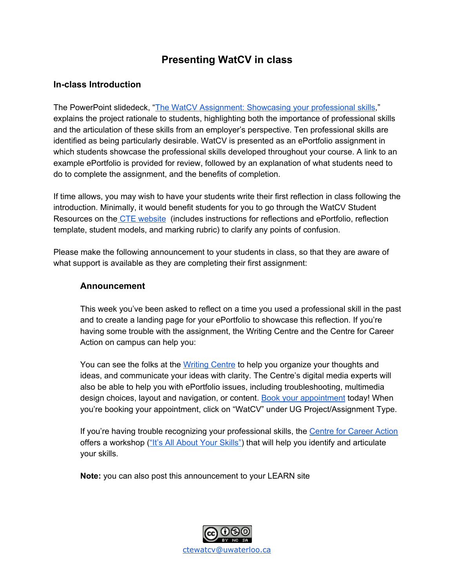# **Presenting WatCV in class**

# **In-class Introduction**

The PowerPoint slidedeck, "The WatCV [Assignment:](https://uwaterloo.ca/centre-for-teaching-excellence/sites/ca.centre-for-teaching-excellence/files/uploads/files/the_watcv_assignment_showcasing_your_professional_skills.pptx) Showcasing your professional skills," explains the project rationale to students, highlighting both the importance of professional skills and the articulation of these skills from an employer's perspective. Ten professional skills are identified as being particularly desirable. WatCV is presented as an ePortfolio assignment in which students showcase the professional skills developed throughout your course. A link to an example ePortfolio is provided for review, followed by an explanation of what students need to do to complete the assignment, and the benefits of completion.

If time allows, you may wish to have your students write their first reflection in class following the introduction. Minimally, it would benefit students for you to go through the WatCV Student Resources on the CTE [website](https://uwaterloo.ca/centre-for-teaching-excellence/support/integrative-learning/watcv) (includes instructions for reflections and ePortfolio, reflection template, student models, and marking rubric) to clarify any points of confusion.

Please make the following announcement to your students in class, so that they are aware of what support is available as they are completing their first assignment:

### **Announcement**

This week you've been asked to reflect on a time you used a professional skill in the past and to create a landing page for your ePortfolio to showcase this reflection. If you're having some trouble with the assignment, the Writing Centre and the Centre for Career Action on campus can help you:

You can see the folks at the [Writing](https://uwaterloo.ca/writing-centre/) Centre to help you organize your thoughts and ideas, and communicate your ideas with clarity. The Centre's digital media experts will also be able to help you with ePortfolio issues, including troubleshooting, multimedia design choices, layout and navigation, or content. [B](https://uwaterloo.mywconline.com/)ook your [appointment](https://uwaterloo.mywconline.com/) today! When you're booking your appointment, click on "WatCV" under UG Project/Assignment Type.

If you're having trouble recognizing your professional skills, the Centre for [Career](https://uwaterloo.ca/career-action/) Action offers a workshop ("It's All About Your [Skills"\)](https://uwaterloo.ca/career-action/workshops) that will help you identify and articulate your skills.

**Note:** you can also post this announcement to your LEARN site

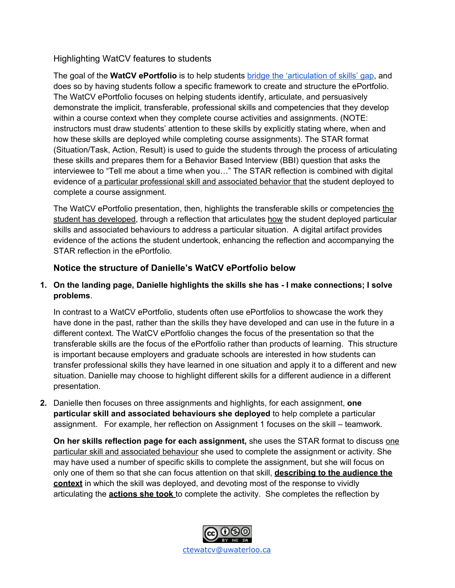# Highlighting WatCV features to students

The goal of the **WatCV ePortfolio** is to help students [b](http://cte-blog.uwaterloo.ca/?p=5116)ridge the ['articulation](http://cte-blog.uwaterloo.ca/?p=5116) of skills' gap, and does so by having students follow a specific framework to create and structure the ePortfolio. The WatCV ePortfolio focuses on helping students identify, articulate, and persuasively demonstrate the implicit, transferable, professional skills and competencies that they develop within a course context when they complete course activities and assignments. (NOTE: instructors must draw students' attention to these skills by explicitly stating where, when and how these skills are deployed while completing course assignments). The STAR format (Situation/Task, Action, Result) is used to guide the students through the process of articulating these skills and prepares them for a Behavior Based Interview (BBI) question that asks the interviewee to "Tell me about a time when you…" The STAR reflection is combined with digital evidence of a particular professional skill and associated behavior that the student deployed to complete a course assignment.

The WatCV ePortfolio presentation, then, highlights the transferable skills or competencies the student has developed, through a reflection that articulates how the student deployed particular skills and associated behaviours to address a particular situation. A digital artifact provides evidence of the actions the student undertook, enhancing the reflection and accompanying the STAR reflection in the ePortfolio.

# **Notice the structure of Danielle's WatCV ePortfolio below**

### **1. On the landing page, Danielle highlights the skills she has - I make connections; I solve problems**.

In contrast to a WatCV ePortfolio, students often use ePortfolios to showcase the work they have done in the past, rather than the skills they have developed and can use in the future in a different context. The WatCV ePortfolio changes the focus of the presentation so that the transferable skills are the focus of the ePortfolio rather than products of learning. This structure is important because employers and graduate schools are interested in how students can transfer professional skills they have learned in one situation and apply it to a different and new situation. Danielle may choose to highlight different skills for a different audience in a different presentation.

**2.** Danielle then focuses on three assignments and highlights, for each assignment, **one particular skill and associated behaviours she deployed** to help complete a particular assignment. For example, her reflection on Assignment 1 focuses on the skill – teamwork.

**On her skills reflection page for each assignment,** she uses the STAR format to discuss one particular skill and associated behaviour she used to complete the assignment or activity. She may have used a number of specific skills to complete the assignment, but she will focus on only one of them so that she can focus attention on that skill, **describing to the audience the context** in which the skill was deployed, and devoting most of the response to vividly articulating the **actions she took** to complete the activity. She completes the reflection by

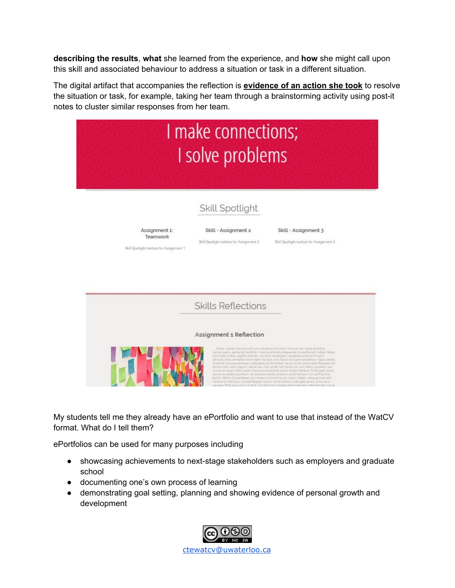**describing the results**, **what** she learned from the experience, and **how** she might call upon this skill and associated behaviour to address a situation or task in a different situation.

The digital artifact that accompanies the reflection is **evidence of an action she took** to resolve the situation or task, for example, taking her team through a brainstorming activity using post-it notes to cluster similar responses from her team.



My students tell me they already have an ePortfolio and want to use that instead of the WatCV format. What do I tell them?

ePortfolios can be used for many purposes including

- showcasing achievements to next-stage stakeholders such as employers and graduate school
- documenting one's own process of learning
- demonstrating goal setting, planning and showing evidence of personal growth and development